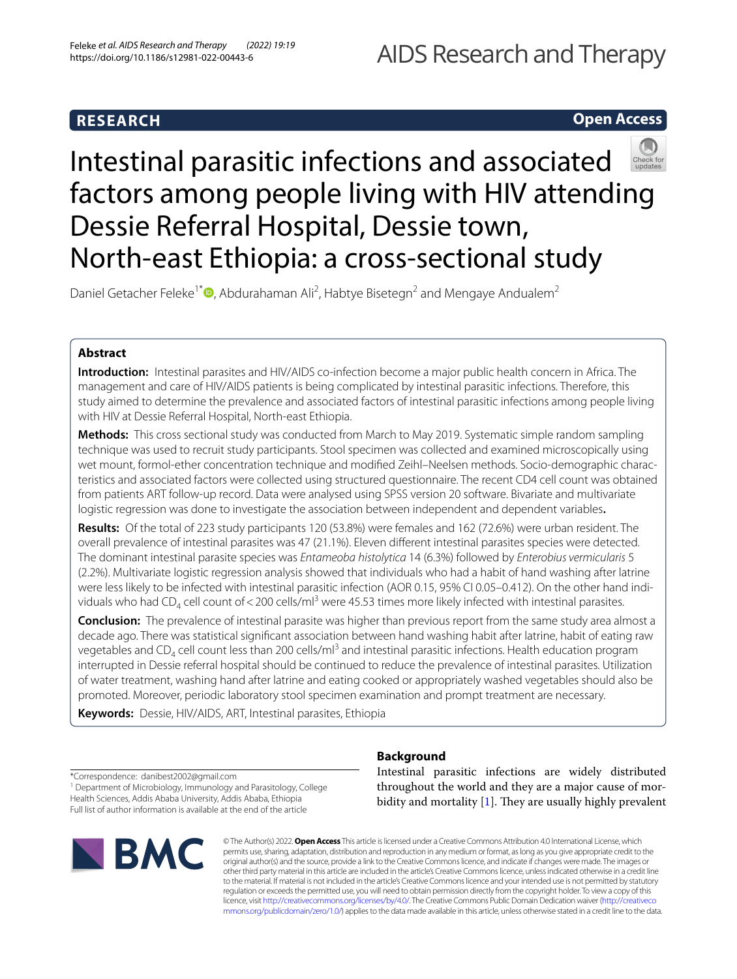# **RESEARCH**

## **Open Access**



# Intestinal parasitic infections and associated factors among people living with HIV attending Dessie Referral Hospital, Dessie town, North-east Ethiopia: a cross-sectional study

Daniel Getacher Feleke<sup>1[\\*](http://orcid.org/0000-0003-2339-106X)</sup><sup>®</sup>, Abdurahaman Ali<sup>2</sup>, Habtye Bisetegn<sup>2</sup> and Mengaye Andualem<sup>2</sup>

## **Abstract**

**Introduction:** Intestinal parasites and HIV/AIDS co-infection become a major public health concern in Africa. The management and care of HIV/AIDS patients is being complicated by intestinal parasitic infections. Therefore, this study aimed to determine the prevalence and associated factors of intestinal parasitic infections among people living with HIV at Dessie Referral Hospital, North-east Ethiopia.

**Methods:** This cross sectional study was conducted from March to May 2019. Systematic simple random sampling technique was used to recruit study participants. Stool specimen was collected and examined microscopically using wet mount, formol-ether concentration technique and modifed Zeihl–Neelsen methods. Socio-demographic characteristics and associated factors were collected using structured questionnaire. The recent CD4 cell count was obtained from patients ART follow-up record. Data were analysed using SPSS version 20 software. Bivariate and multivariate logistic regression was done to investigate the association between independent and dependent variables**.**

**Results:** Of the total of 223 study participants 120 (53.8%) were females and 162 (72.6%) were urban resident. The overall prevalence of intestinal parasites was 47 (21.1%). Eleven diferent intestinal parasites species were detected. The dominant intestinal parasite species was *Entameoba histolytica* 14 (6.3%) followed by *Enterobius vermicularis* 5 (2.2%). Multivariate logistic regression analysis showed that individuals who had a habit of hand washing after latrine were less likely to be infected with intestinal parasitic infection (AOR 0.15, 95% CI 0.05–0.412). On the other hand individuals who had CD<sub>4</sub> cell count of < 200 cells/ml<sup>3</sup> were 45.53 times more likely infected with intestinal parasites.

**Conclusion:** The prevalence of intestinal parasite was higher than previous report from the same study area almost a decade ago. There was statistical signifcant association between hand washing habit after latrine, habit of eating raw vegetables and CD<sub>4</sub> cell count less than 200 cells/ml<sup>3</sup> and intestinal parasitic infections. Health education program interrupted in Dessie referral hospital should be continued to reduce the prevalence of intestinal parasites. Utilization of water treatment, washing hand after latrine and eating cooked or appropriately washed vegetables should also be promoted. Moreover, periodic laboratory stool specimen examination and prompt treatment are necessary.

**Keywords:** Dessie, HIV/AIDS, ART, Intestinal parasites, Ethiopia

## **Background**

<sup>1</sup> Department of Microbiology, Immunology and Parasitology, College Health Sciences, Addis Ababa University, Addis Ababa, Ethiopia Full list of author information is available at the end of the article



Intestinal parasitic infections are widely distributed throughout the world and they are a major cause of morbidity and mortality  $[1]$  $[1]$  $[1]$ . They are usually highly prevalent

© The Author(s) 2022. **Open Access** This article is licensed under a Creative Commons Attribution 4.0 International License, which permits use, sharing, adaptation, distribution and reproduction in any medium or format, as long as you give appropriate credit to the original author(s) and the source, provide a link to the Creative Commons licence, and indicate if changes were made. The images or other third party material in this article are included in the article's Creative Commons licence, unless indicated otherwise in a credit line to the material. If material is not included in the article's Creative Commons licence and your intended use is not permitted by statutory regulation or exceeds the permitted use, you will need to obtain permission directly from the copyright holder. To view a copy of this licence, visit [http://creativecommons.org/licenses/by/4.0/.](http://creativecommons.org/licenses/by/4.0/) The Creative Commons Public Domain Dedication waiver ([http://creativeco](http://creativecommons.org/publicdomain/zero/1.0/) [mmons.org/publicdomain/zero/1.0/](http://creativecommons.org/publicdomain/zero/1.0/)) applies to the data made available in this article, unless otherwise stated in a credit line to the data.

<sup>\*</sup>Correspondence: danibest2002@gmail.com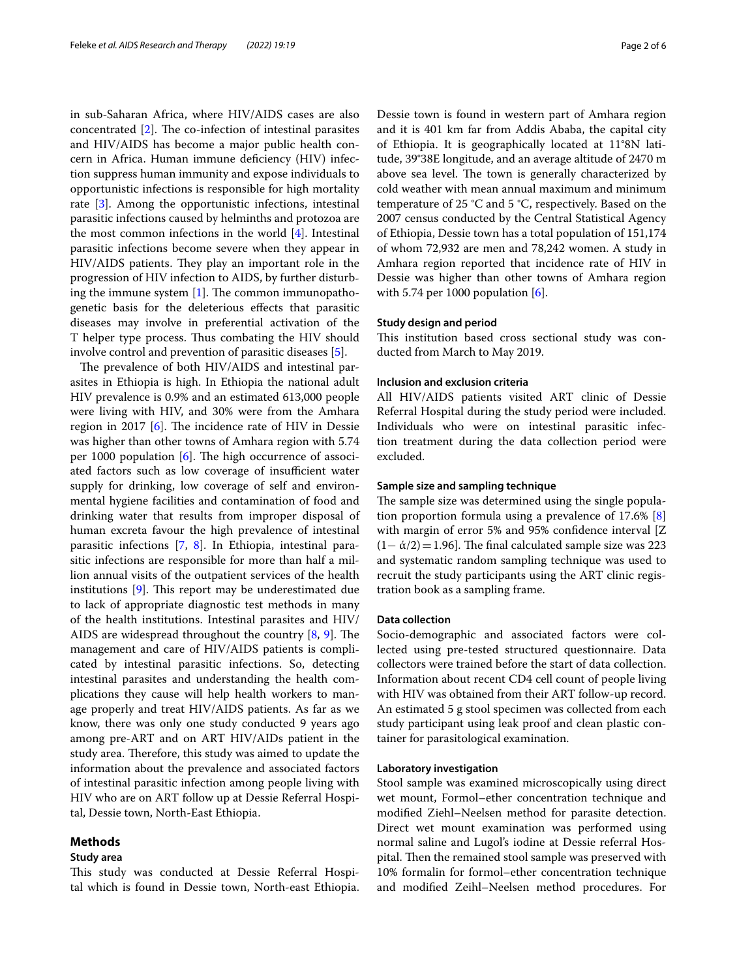in sub-Saharan Africa, where HIV/AIDS cases are also concentrated  $[2]$  $[2]$ . The co-infection of intestinal parasites and HIV/AIDS has become a major public health concern in Africa. Human immune defciency (HIV) infection suppress human immunity and expose individuals to opportunistic infections is responsible for high mortality rate [[3\]](#page-5-2). Among the opportunistic infections, intestinal parasitic infections caused by helminths and protozoa are the most common infections in the world [\[4](#page-5-3)]. Intestinal parasitic infections become severe when they appear in HIV/AIDS patients. They play an important role in the progression of HIV infection to AIDS, by further disturbing the immune system  $[1]$  $[1]$ . The common immunopathogenetic basis for the deleterious efects that parasitic diseases may involve in preferential activation of the T helper type process. Thus combating the HIV should involve control and prevention of parasitic diseases [\[5](#page-5-4)].

The prevalence of both HIV/AIDS and intestinal parasites in Ethiopia is high. In Ethiopia the national adult HIV prevalence is 0.9% and an estimated 613,000 people were living with HIV, and 30% were from the Amhara region in 2017  $[6]$  $[6]$  $[6]$ . The incidence rate of HIV in Dessie was higher than other towns of Amhara region with 5.74 per 1000 population  $[6]$  $[6]$ . The high occurrence of associated factors such as low coverage of insufficient water supply for drinking, low coverage of self and environmental hygiene facilities and contamination of food and drinking water that results from improper disposal of human excreta favour the high prevalence of intestinal parasitic infections [[7](#page-5-6), [8](#page-5-7)]. In Ethiopia, intestinal parasitic infections are responsible for more than half a million annual visits of the outpatient services of the health institutions  $[9]$  $[9]$ . This report may be underestimated due to lack of appropriate diagnostic test methods in many of the health institutions. Intestinal parasites and HIV/ AIDS are widespread throughout the country  $[8, 9]$  $[8, 9]$  $[8, 9]$  $[8, 9]$ . The management and care of HIV/AIDS patients is complicated by intestinal parasitic infections. So, detecting intestinal parasites and understanding the health complications they cause will help health workers to manage properly and treat HIV/AIDS patients. As far as we know, there was only one study conducted 9 years ago among pre-ART and on ART HIV/AIDs patient in the study area. Therefore, this study was aimed to update the information about the prevalence and associated factors of intestinal parasitic infection among people living with HIV who are on ART follow up at Dessie Referral Hospital, Dessie town, North-East Ethiopia.

## **Methods**

## **Study area**

This study was conducted at Dessie Referral Hospital which is found in Dessie town, North-east Ethiopia.

Dessie town is found in western part of Amhara region and it is 401 km far from Addis Ababa, the capital city of Ethiopia. It is geographically located at 11°8N latitude, 39°38E longitude, and an average altitude of 2470 m above sea level. The town is generally characterized by cold weather with mean annual maximum and minimum temperature of 25 °C and 5 °C, respectively. Based on the 2007 census conducted by the Central Statistical Agency of Ethiopia, Dessie town has a total population of 151,174 of whom 72,932 are men and 78,242 women. A study in Amhara region reported that incidence rate of HIV in Dessie was higher than other towns of Amhara region with 5.74 per 1000 population  $[6]$  $[6]$  $[6]$ .

## **Study design and period**

This institution based cross sectional study was conducted from March to May 2019.

## **Inclusion and exclusion criteria**

All HIV/AIDS patients visited ART clinic of Dessie Referral Hospital during the study period were included. Individuals who were on intestinal parasitic infection treatment during the data collection period were excluded.

## **Sample size and sampling technique**

The sample size was determined using the single population proportion formula using a prevalence of 17.6% [\[8](#page-5-7)] with margin of error 5% and 95% confidence interval [Z]  $(1-\alpha/2)=1.96$ ]. The final calculated sample size was 223 and systematic random sampling technique was used to recruit the study participants using the ART clinic registration book as a sampling frame.

## **Data collection**

Socio-demographic and associated factors were collected using pre-tested structured questionnaire. Data collectors were trained before the start of data collection. Information about recent CD4 cell count of people living with HIV was obtained from their ART follow-up record. An estimated 5 g stool specimen was collected from each study participant using leak proof and clean plastic container for parasitological examination.

## **Laboratory investigation**

Stool sample was examined microscopically using direct wet mount, Formol–ether concentration technique and modifed Ziehl–Neelsen method for parasite detection. Direct wet mount examination was performed using normal saline and Lugol's iodine at Dessie referral Hospital. Then the remained stool sample was preserved with 10% formalin for formol–ether concentration technique and modifed Zeihl–Neelsen method procedures. For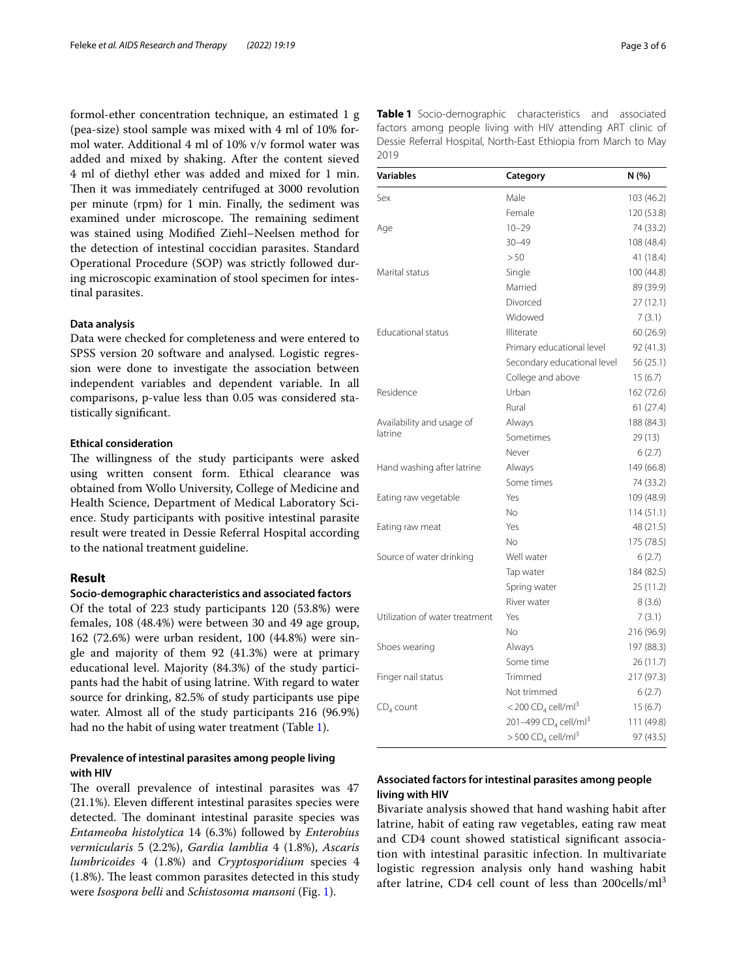formol-ether concentration technique, an estimated 1 g (pea-size) stool sample was mixed with 4 ml of 10% formol water. Additional 4 ml of 10% v/v formol water was added and mixed by shaking. After the content sieved 4 ml of diethyl ether was added and mixed for 1 min. Then it was immediately centrifuged at 3000 revolution per minute (rpm) for 1 min. Finally, the sediment was examined under microscope. The remaining sediment was stained using Modifed Ziehl–Neelsen method for the detection of intestinal coccidian parasites. Standard Operational Procedure (SOP) was strictly followed during microscopic examination of stool specimen for intestinal parasites.

## **Data analysis**

Data were checked for completeness and were entered to SPSS version 20 software and analysed. Logistic regression were done to investigate the association between independent variables and dependent variable. In all comparisons, p-value less than 0.05 was considered statistically signifcant.

## **Ethical consideration**

The willingness of the study participants were asked using written consent form. Ethical clearance was obtained from Wollo University, College of Medicine and Health Science, Department of Medical Laboratory Science. Study participants with positive intestinal parasite result were treated in Dessie Referral Hospital according to the national treatment guideline.

## **Result**

## **Socio‑demographic characteristics and associated factors**

Of the total of 223 study participants 120 (53.8%) were females, 108 (48.4%) were between 30 and 49 age group, 162 (72.6%) were urban resident, 100 (44.8%) were single and majority of them 92 (41.3%) were at primary educational level. Majority (84.3%) of the study participants had the habit of using latrine. With regard to water source for drinking, 82.5% of study participants use pipe water. Almost all of the study participants 216 (96.9%) had no the habit of using water treatment (Table [1\)](#page-2-0).

## **Prevalence of intestinal parasites among people living with HIV**

The overall prevalence of intestinal parasites was 47 (21.1%). Eleven diferent intestinal parasites species were detected. The dominant intestinal parasite species was *Entameoba histolytica* 14 (6.3%) followed by *Enterobius vermicularis* 5 (2.2%), *Gardia lamblia* 4 (1.8%), *Ascaris lumbricoides* 4 (1.8%) and *Cryptosporidium* species 4  $(1.8\%)$ . The least common parasites detected in this study were *Isospora belli* and *Schistosoma mansoni* (Fig. [1](#page-3-0)).

<span id="page-2-0"></span>**Table 1** Socio-demographic characteristics and associated factors among people living with HIV attending ART clinic of Dessie Referral Hospital, North-East Ethiopia from March to May 2019

| <b>Variables</b>               | Category                                     | N (%)      |
|--------------------------------|----------------------------------------------|------------|
| Sex                            | Male                                         | 103 (46.2) |
|                                | Female                                       | 120 (53.8) |
| Age                            | $10 - 29$                                    | 74 (33.2)  |
|                                | $30 - 49$                                    | 108 (48.4) |
|                                | > 50                                         | 41 (18.4)  |
| Marital status                 | Single                                       | 100 (44.8) |
|                                | Married                                      | 89 (39.9)  |
|                                | Divorced                                     | 27 (12.1)  |
|                                | Widowed                                      | 7(3.1)     |
| Educational status             | Illiterate                                   | 60 (26.9)  |
|                                | Primary educational level                    | 92 (41.3)  |
|                                | Secondary educational level                  | 56 (25.1)  |
|                                | College and above                            | 15(6.7)    |
| Residence                      | Urban                                        | 162 (72.6) |
|                                | Rural                                        | 61 (27.4)  |
| Availability and usage of      | Always                                       | 188 (84.3) |
| latrine                        | Sometimes                                    | 29 (13)    |
|                                | Never                                        | 6(2.7)     |
| Hand washing after latrine     | Always                                       | 149 (66.8) |
|                                | Some times                                   | 74 (33.2)  |
| Eating raw vegetable           | Yes                                          | 109 (48.9) |
|                                | No.                                          | 114(51.1)  |
| Eating raw meat                | Yes                                          | 48 (21.5)  |
|                                | No.                                          | 175 (78.5) |
| Source of water drinking       | Well water                                   | 6(2.7)     |
|                                | Tap water                                    | 184 (82.5) |
|                                | Spring water                                 | 25 (11.2)  |
|                                | River water                                  | 8(3.6)     |
| Utilization of water treatment | Yes                                          | 7 (3.1)    |
|                                | No.                                          | 216 (96.9) |
| Shoes wearing                  | Always                                       | 197 (88.3) |
|                                | Some time                                    | 26 (11.7)  |
| Finger nail status             | Trimmed                                      | 217 (97.3) |
|                                | Not trimmed                                  | 6(2.7)     |
| $CD4$ count                    | <200 $CD4$ cell/ml <sup>3</sup>              | 15(6.7)    |
|                                | 201-499 CD <sub>4</sub> cell/ml <sup>3</sup> | 111 (49.8) |
|                                | $>$ 500 CD <sub>4</sub> cell/ml <sup>3</sup> | 97 (43.5)  |

## **Associated factors for intestinal parasites among people living with HIV**

Bivariate analysis showed that hand washing habit after latrine, habit of eating raw vegetables, eating raw meat and CD4 count showed statistical signifcant association with intestinal parasitic infection. In multivariate logistic regression analysis only hand washing habit after latrine, CD4 cell count of less than  $200$ cells/ml<sup>3</sup>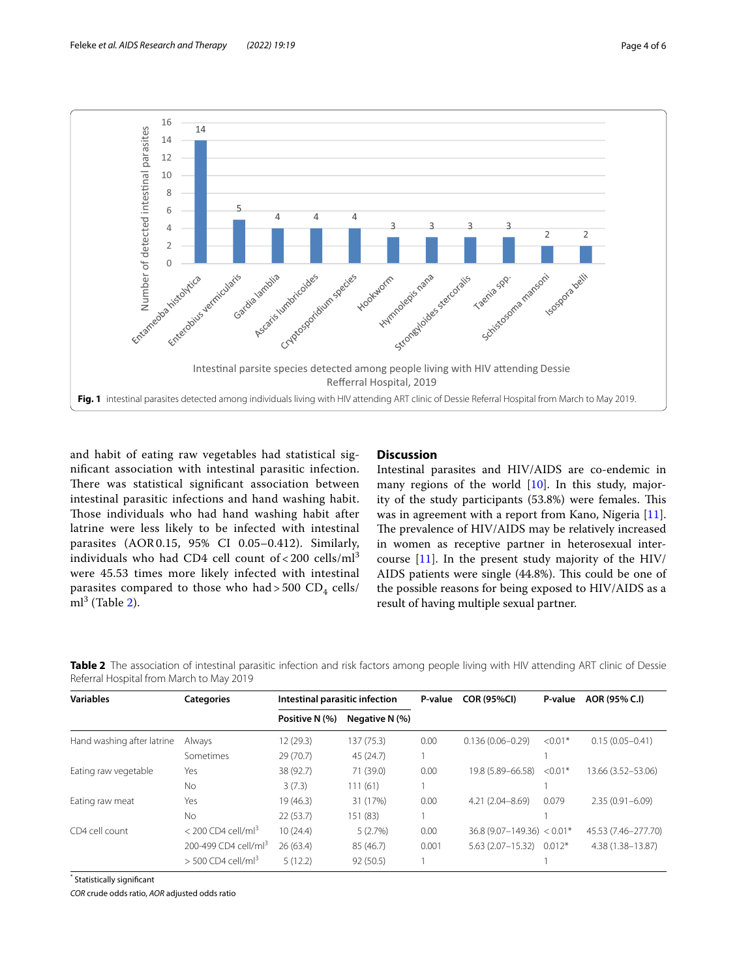

<span id="page-3-0"></span>and habit of eating raw vegetables had statistical signifcant association with intestinal parasitic infection. There was statistical significant association between intestinal parasitic infections and hand washing habit. Those individuals who had hand washing habit after latrine were less likely to be infected with intestinal parasites (AOR0.15, 95% CI 0.05–0.412). Similarly, individuals who had CD4 cell count of < 200 cells/ml<sup>3</sup> were 45.53 times more likely infected with intestinal parasites compared to those who had > 500  $CD_4$  cells/  $ml^3$  (Table [2\)](#page-3-1).

## **Discussion**

Intestinal parasites and HIV/AIDS are co-endemic in many regions of the world [\[10\]](#page-5-9). In this study, majority of the study participants (53.8%) were females. This was in agreement with a report from Kano, Nigeria [\[11](#page-5-10)]. The prevalence of HIV/AIDS may be relatively increased in women as receptive partner in heterosexual intercourse [[11\]](#page-5-10). In the present study majority of the HIV/ AIDS patients were single (44.8%). This could be one of the possible reasons for being exposed to HIV/AIDS as a result of having multiple sexual partner.

<span id="page-3-1"></span>**Table 2** The association of intestinal parasitic infection and risk factors among people living with HIV attending ART clinic of Dessie Referral Hospital from March to May 2019

| <b>Variables</b>           | <b>Categories</b>                | Intestinal parasitic infection |                | P-value | <b>COR (95%CI)</b>             | P-value   | AOR (95% C.I)        |
|----------------------------|----------------------------------|--------------------------------|----------------|---------|--------------------------------|-----------|----------------------|
|                            |                                  | Positive N (%)                 | Negative N (%) |         |                                |           |                      |
| Hand washing after latrine | Always                           | 12(29.3)                       | 137 (75.3)     | 0.00    | $0.136(0.06 - 0.29)$           | $< 0.01*$ | $0.15(0.05 - 0.41)$  |
|                            | Sometimes                        | 29(70.7)                       | 45 (24.7)      |         |                                |           |                      |
| Eating raw vegetable       | Yes                              | 38 (92.7)                      | 71 (39.0)      | 0.00    | 19.8 (5.89 - 66.58)            | $< 0.01*$ | 13.66 (3.52 - 53.06) |
|                            | No                               | 3(7.3)                         | 111(61)        |         |                                |           |                      |
| Eating raw meat            | Yes                              | 19(46.3)                       | 31 (17%)       | 0.00    | $4.21(2.04 - 8.69)$            | 0.079     | $2.35(0.91 - 6.09)$  |
|                            | No                               | 22(53.7)                       | 151 (83)       |         |                                |           |                      |
| CD4 cell count             | $<$ 200 CD4 cell/ml <sup>3</sup> | 10(24.4)                       | 5(2.7%)        | 0.00    | $36.8 (9.07 - 149.36) < 0.01*$ |           | 45.53 (7.46-277.70)  |
|                            | 200-499 CD4 cell/ml <sup>3</sup> | 26(63.4)                       | 85 (46.7)      | 0.001   | $5.63(2.07 - 15.32)$           | $0.012*$  | 4.38 (1.38-13.87)    |
|                            | $>$ 500 CD4 cell/ml <sup>3</sup> | 5(12.2)                        | 92 (50.5)      |         |                                |           |                      |

\* Statistically signifcant

*COR* crude odds ratio, *AOR* adjusted odds ratio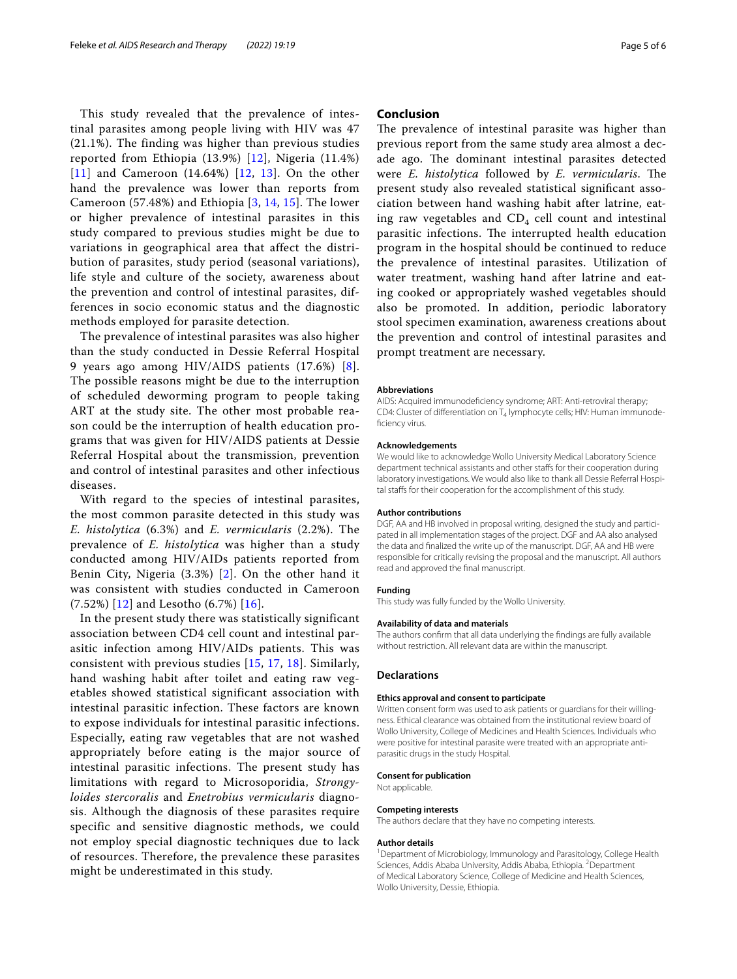This study revealed that the prevalence of intestinal parasites among people living with HIV was 47 (21.1%). The finding was higher than previous studies reported from Ethiopia (13.9%) [[12](#page-5-11)], Nigeria (11.4%) [[11](#page-5-10)] and Cameroon  $(14.64%)$  [\[12,](#page-5-11) [13\]](#page-5-12). On the other hand the prevalence was lower than reports from Cameroon (57.48%) and Ethiopia [[3,](#page-5-2) [14,](#page-5-13) [15](#page-5-14)]. The lower or higher prevalence of intestinal parasites in this study compared to previous studies might be due to variations in geographical area that affect the distribution of parasites, study period (seasonal variations), life style and culture of the society, awareness about the prevention and control of intestinal parasites, differences in socio economic status and the diagnostic methods employed for parasite detection.

The prevalence of intestinal parasites was also higher than the study conducted in Dessie Referral Hospital 9 years ago among HIV/AIDS patients (17.6%) [[8\]](#page-5-7). The possible reasons might be due to the interruption of scheduled deworming program to people taking ART at the study site. The other most probable reason could be the interruption of health education programs that was given for HIV/AIDS patients at Dessie Referral Hospital about the transmission, prevention and control of intestinal parasites and other infectious diseases.

With regard to the species of intestinal parasites, the most common parasite detected in this study was *E. histolytica* (6.3%) and *E. vermicularis* (2.2%). The prevalence of *E. histolytica* was higher than a study conducted among HIV/AIDs patients reported from Benin City, Nigeria (3.3%) [\[2\]](#page-5-1). On the other hand it was consistent with studies conducted in Cameroon  $(7.52%)$  [[12](#page-5-11)] and Lesotho  $(6.7%)$  [[16\]](#page-5-15).

In the present study there was statistically significant association between CD4 cell count and intestinal parasitic infection among HIV/AIDs patients. This was consistent with previous studies [[15,](#page-5-14) [17,](#page-5-16) [18](#page-5-17)]. Similarly, hand washing habit after toilet and eating raw vegetables showed statistical significant association with intestinal parasitic infection. These factors are known to expose individuals for intestinal parasitic infections. Especially, eating raw vegetables that are not washed appropriately before eating is the major source of intestinal parasitic infections. The present study has limitations with regard to Microsoporidia, *Strongyloides stercoralis* and *Enetrobius vermicularis* diagnosis. Although the diagnosis of these parasites require specific and sensitive diagnostic methods, we could not employ special diagnostic techniques due to lack of resources. Therefore, the prevalence these parasites might be underestimated in this study.

## **Conclusion**

The prevalence of intestinal parasite was higher than previous report from the same study area almost a decade ago. The dominant intestinal parasites detected were *E. histolytica* followed by *E. vermicularis*. The present study also revealed statistical signifcant association between hand washing habit after latrine, eating raw vegetables and  $CD_4$  cell count and intestinal parasitic infections. The interrupted health education program in the hospital should be continued to reduce the prevalence of intestinal parasites. Utilization of water treatment, washing hand after latrine and eating cooked or appropriately washed vegetables should also be promoted. In addition, periodic laboratory stool specimen examination, awareness creations about the prevention and control of intestinal parasites and prompt treatment are necessary.

#### **Abbreviations**

AIDS: Acquired immunodefciency syndrome; ART: Anti-retroviral therapy; CD4: Cluster of differentiation on  $T_4$  lymphocyte cells; HIV: Human immunodeficiency virus.

#### **Acknowledgements**

We would like to acknowledge Wollo University Medical Laboratory Science department technical assistants and other stafs for their cooperation during laboratory investigations. We would also like to thank all Dessie Referral Hospital stafs for their cooperation for the accomplishment of this study.

#### **Author contributions**

DGF, AA and HB involved in proposal writing, designed the study and participated in all implementation stages of the project. DGF and AA also analysed the data and fnalized the write up of the manuscript. DGF, AA and HB were responsible for critically revising the proposal and the manuscript. All authors read and approved the fnal manuscript.

## **Funding**

This study was fully funded by the Wollo University.

## **Availability of data and materials**

The authors confrm that all data underlying the fndings are fully available without restriction. All relevant data are within the manuscript.

### **Declarations**

#### **Ethics approval and consent to participate**

Written consent form was used to ask patients or guardians for their willingness. Ethical clearance was obtained from the institutional review board of Wollo University, College of Medicines and Health Sciences. Individuals who were positive for intestinal parasite were treated with an appropriate antiparasitic drugs in the study Hospital.

## **Consent for publication**

Not applicable.

#### **Competing interests**

The authors declare that they have no competing interests.

#### **Author details**

<sup>1</sup> Department of Microbiology, Immunology and Parasitology, College Health Sciences, Addis Ababa University, Addis Ababa, Ethiopia. <sup>2</sup> Department of Medical Laboratory Science, College of Medicine and Health Sciences, Wollo University, Dessie, Ethiopia.